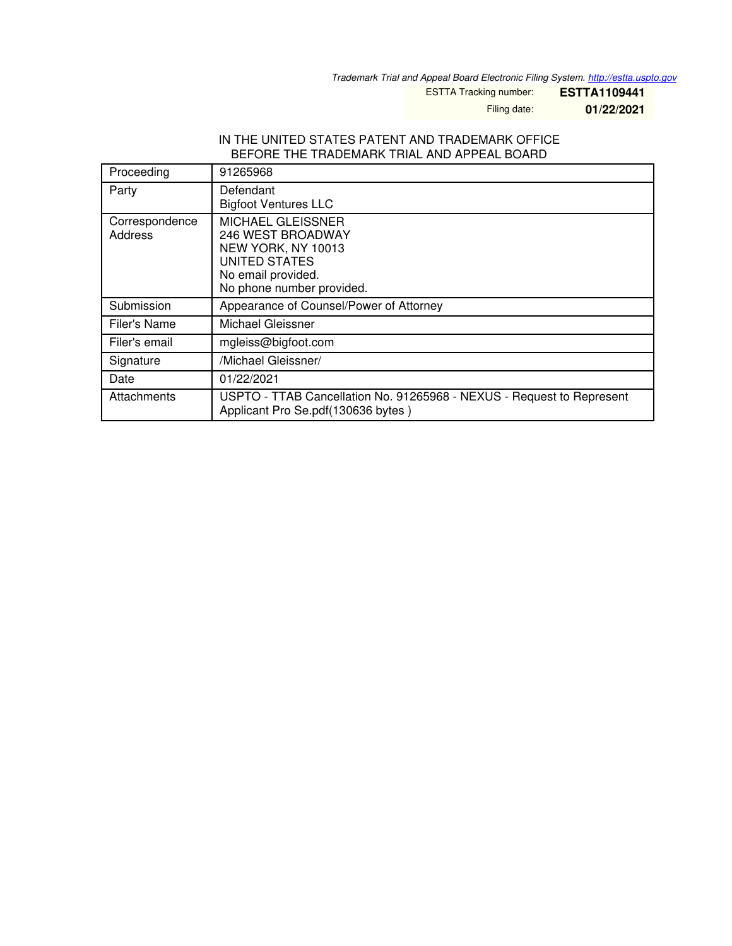*Trademark Trial and Appeal Board Electronic Filing System. <http://estta.uspto.gov>*

ESTTA Tracking number: **ESTTA1109441**

Filing date: **01/22/2021**

#### IN THE UNITED STATES PATENT AND TRADEMARK OFFICE BEFORE THE TRADEMARK TRIAL AND APPEAL BOARD

| Proceeding                | 91265968                                                                                                                         |
|---------------------------|----------------------------------------------------------------------------------------------------------------------------------|
| Party                     | Defendant<br><b>Bigfoot Ventures LLC</b>                                                                                         |
| Correspondence<br>Address | MICHAEL GLEISSNER<br>246 WEST BROADWAY<br>NEW YORK, NY 10013<br>UNITED STATES<br>No email provided.<br>No phone number provided. |
| Submission                | Appearance of Counsel/Power of Attorney                                                                                          |
| Filer's Name              | Michael Gleissner                                                                                                                |
| Filer's email             | mgleiss@bigfoot.com                                                                                                              |
| Signature                 | /Michael Gleissner/                                                                                                              |
| Date                      | 01/22/2021                                                                                                                       |
| Attachments               | USPTO - TTAB Cancellation No. 91265968 - NEXUS - Request to Represent<br>Applicant Pro Se.pdf(130636 bytes)                      |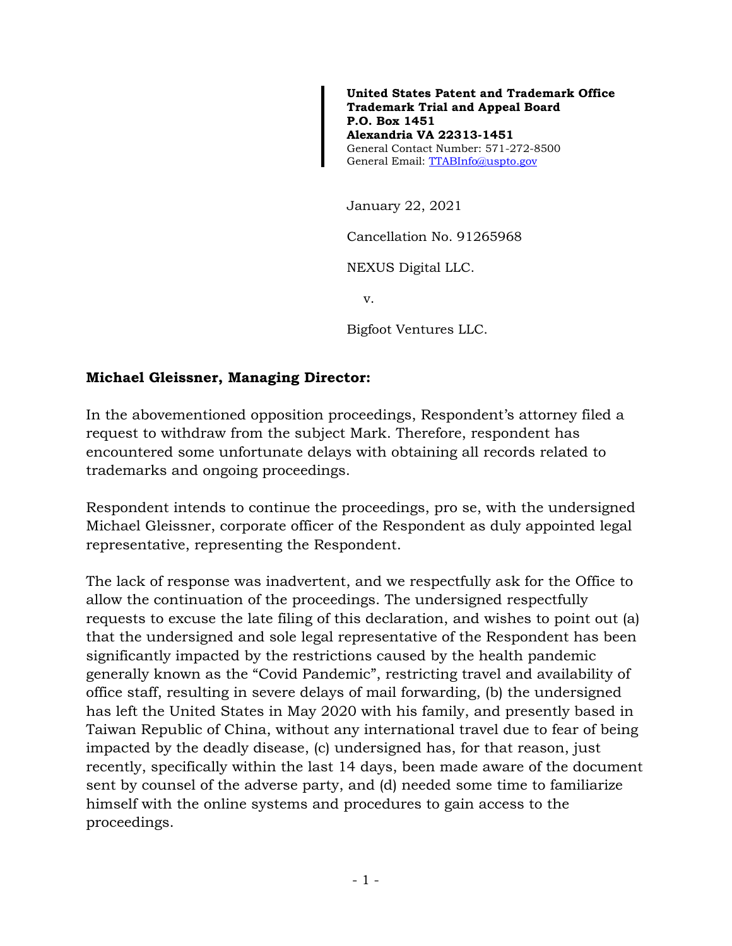**United States Patent and Trademark Office Trademark Trial and Appeal Board P.O. Box 1451 Alexandria VA 22313-1451**  General Contact Number: 571-272-8500 General Email: [TTABInfo@uspto.gov](mailto:TTABInfo@uspto.gov)

January 22, 2021

Cancellation No. 91265968

NEXUS Digital LLC.

v.

Bigfoot Ventures LLC.

### **Michael Gleissner, Managing Director:**

In the abovementioned opposition proceedings, Respondent's attorney filed a request to withdraw from the subject Mark. Therefore, respondent has encountered some unfortunate delays with obtaining all records related to trademarks and ongoing proceedings.

Respondent intends to continue the proceedings, pro se, with the undersigned Michael Gleissner, corporate officer of the Respondent as duly appointed legal representative, representing the Respondent.

The lack of response was inadvertent, and we respectfully ask for the Office to allow the continuation of the proceedings. The undersigned respectfully requests to excuse the late filing of this declaration, and wishes to point out (a) that the undersigned and sole legal representative of the Respondent has been significantly impacted by the restrictions caused by the health pandemic generally known as the "Covid Pandemic", restricting travel and availability of office staff, resulting in severe delays of mail forwarding, (b) the undersigned has left the United States in May 2020 with his family, and presently based in Taiwan Republic of China, without any international travel due to fear of being impacted by the deadly disease, (c) undersigned has, for that reason, just recently, specifically within the last 14 days, been made aware of the document sent by counsel of the adverse party, and (d) needed some time to familiarize himself with the online systems and procedures to gain access to the proceedings.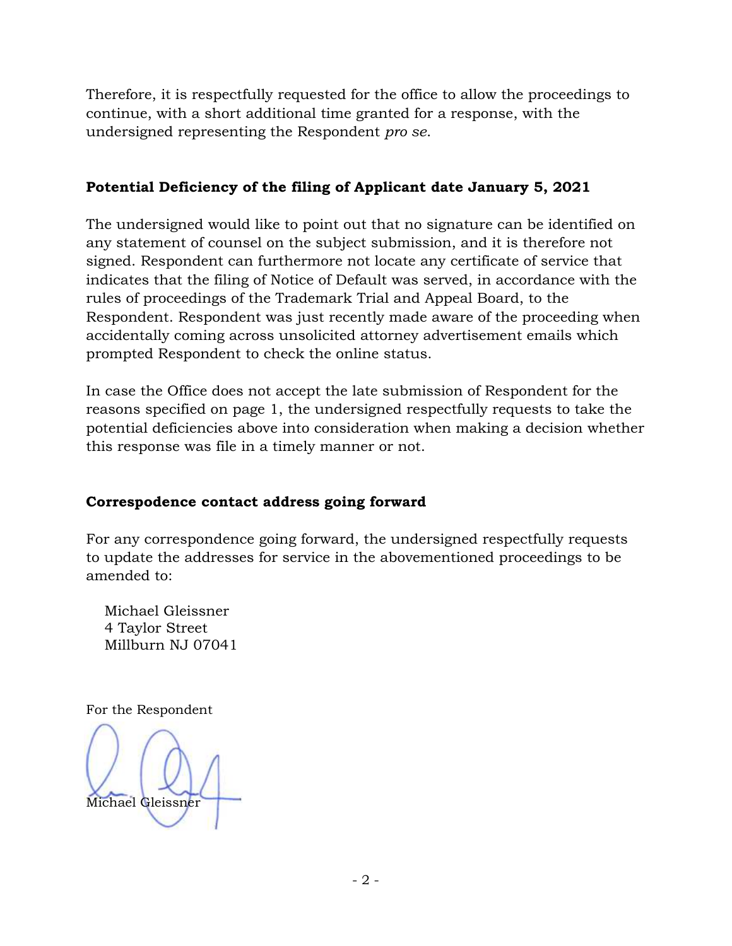Therefore, it is respectfully requested for the office to allow the proceedings to continue, with a short additional time granted for a response, with the undersigned representing the Respondent *pro se*.

# **Potential Deficiency of the filing of Applicant date January 5, 2021**

The undersigned would like to point out that no signature can be identified on any statement of counsel on the subject submission, and it is therefore not signed. Respondent can furthermore not locate any certificate of service that indicates that the filing of Notice of Default was served, in accordance with the rules of proceedings of the Trademark Trial and Appeal Board, to the Respondent. Respondent was just recently made aware of the proceeding when accidentally coming across unsolicited attorney advertisement emails which prompted Respondent to check the online status.

In case the Office does not accept the late submission of Respondent for the reasons specified on page 1, the undersigned respectfully requests to take the potential deficiencies above into consideration when making a decision whether this response was file in a timely manner or not.

# **Correspodence contact address going forward**

For any correspondence going forward, the undersigned respectfully requests to update the addresses for service in the abovementioned proceedings to be amended to:

 Michael Gleissner 4 Taylor Street Millburn NJ 07041

For the Respondent

Michael Gleissner